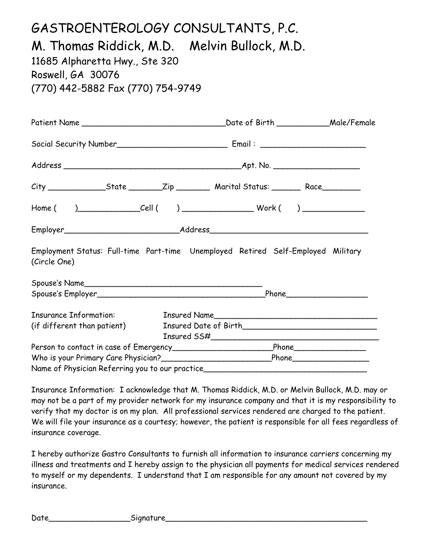# GASTROENTEROLOGY CONSULTANTS, P.C. M. Thomas Riddick, M.D. Melvin Bullock, M.D. 11685 Alpharetta Hwy., Ste 320 Roswell, GA 30076 (770) 442-5882 Fax (770) 754-9749

| Patient Name                                                                                         |  |  |
|------------------------------------------------------------------------------------------------------|--|--|
|                                                                                                      |  |  |
|                                                                                                      |  |  |
| City _________________State _________Zip _________ Marital Status: ________ Race__________           |  |  |
|                                                                                                      |  |  |
|                                                                                                      |  |  |
| Employment Status: Full-time Part-time Unemployed Retired Self-Employed Military<br>(Circle One)     |  |  |
| Spouse's Name                                                                                        |  |  |
|                                                                                                      |  |  |
| <b>Insurance Information:</b><br>(if different than patient)                                         |  |  |
|                                                                                                      |  |  |
| Person to contact in case of Emergency_______________________________Phone__________________________ |  |  |
| Name of Physician Referring you to our practice_________________________________                     |  |  |

Insurance Information: I acknowledge that M. Thomas Riddick, M.D. or Melvin Bullock, M.D. may or may not be a part of my provider network for my insurance company and that it is my responsibility to verify that my doctor is on my plan. All professional services rendered are charged to the patient. We will file your insurance as a courtesy; however, the patient is responsible for all fees regardless of insurance coverage.

I hereby authorize Gastro Consultants to furnish all information to insurance carriers concerning my illness and treatments and I hereby assign to the physician all payments for medical services rendered to myself or my dependents. I understand that I am responsible for any amount not covered by my insurance.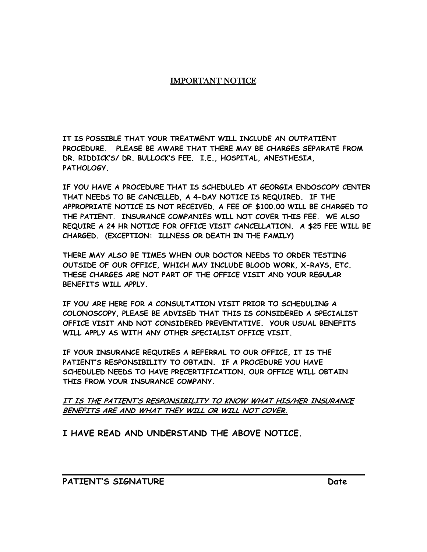#### IMPORTANT NOTICE

**IT IS POSSIBLE THAT YOUR TREATMENT WILL INCLUDE AN OUTPATIENT PROCEDURE. PLEASE BE AWARE THAT THERE MAY BE CHARGES SEPARATE FROM DR. RIDDICK'S/ DR. BULLOCK'S FEE. I.E., HOSPITAL, ANESTHESIA, PATHOLOGY.** 

**IF YOU HAVE A PROCEDURE THAT IS SCHEDULED AT GEORGIA ENDOSCOPY CENTER THAT NEEDS TO BE CANCELLED, A 4-DAY NOTICE IS REQUIRED. IF THE APPROPRIATE NOTICE IS NOT RECEIVED, A FEE OF \$100.00 WILL BE CHARGED TO THE PATIENT. INSURANCE COMPANIES WILL NOT COVER THIS FEE. WE ALSO REQUIRE A 24 HR NOTICE FOR OFFICE VISIT CANCELLATION. A \$25 FEE WILL BE CHARGED. (EXCEPTION: ILLNESS OR DEATH IN THE FAMILY)** 

**THERE MAY ALSO BE TIMES WHEN OUR DOCTOR NEEDS TO ORDER TESTING OUTSIDE OF OUR OFFICE, WHICH MAY INCLUDE BLOOD WORK, X-RAYS, ETC. THESE CHARGES ARE NOT PART OF THE OFFICE VISIT AND YOUR REGULAR BENEFITS WILL APPLY.** 

**IF YOU ARE HERE FOR A CONSULTATION VISIT PRIOR TO SCHEDULING A COLONOSCOPY, PLEASE BE ADVISED THAT THIS IS CONSIDERED A SPECIALIST OFFICE VISIT AND NOT CONSIDERED PREVENTATIVE. YOUR USUAL BENEFITS WILL APPLY AS WITH ANY OTHER SPECIALIST OFFICE VISIT.** 

**IF YOUR INSURANCE REQUIRES A REFERRAL TO OUR OFFICE, IT IS THE PATIENT'S RESPONSIBILITY TO OBTAIN. IF A PROCEDURE YOU HAVE SCHEDULED NEEDS TO HAVE PRECERTIFICATION, OUR OFFICE WILL OBTAIN THIS FROM YOUR INSURANCE COMPANY.** 

**IT IS THE PATIENT'S RESPONSIBILITY TO KNOW WHAT HIS/HER INSURANCE BENEFITS ARE AND WHAT THEY WILL OR WILL NOT COVER.**

**I HAVE READ AND UNDERSTAND THE ABOVE NOTICE.**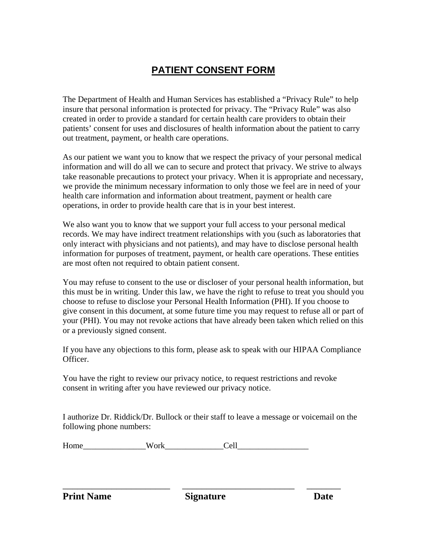#### **PATIENT CONSENT FORM**

The Department of Health and Human Services has established a "Privacy Rule" to help insure that personal information is protected for privacy. The "Privacy Rule" was also created in order to provide a standard for certain health care providers to obtain their patients' consent for uses and disclosures of health information about the patient to carry out treatment, payment, or health care operations.

As our patient we want you to know that we respect the privacy of your personal medical information and will do all we can to secure and protect that privacy. We strive to always take reasonable precautions to protect your privacy. When it is appropriate and necessary, we provide the minimum necessary information to only those we feel are in need of your health care information and information about treatment, payment or health care operations, in order to provide health care that is in your best interest.

We also want you to know that we support your full access to your personal medical records. We may have indirect treatment relationships with you (such as laboratories that only interact with physicians and not patients), and may have to disclose personal health information for purposes of treatment, payment, or health care operations. These entities are most often not required to obtain patient consent.

You may refuse to consent to the use or discloser of your personal health information, but this must be in writing. Under this law, we have the right to refuse to treat you should you choose to refuse to disclose your Personal Health Information (PHI). If you choose to give consent in this document, at some future time you may request to refuse all or part of your (PHI). You may not revoke actions that have already been taken which relied on this or a previously signed consent.

If you have any objections to this form, please ask to speak with our HIPAA Compliance Officer.

You have the right to review our privacy notice, to request restrictions and revoke consent in writing after you have reviewed our privacy notice.

I authorize Dr. Riddick/Dr. Bullock or their staff to leave a message or voicemail on the following phone numbers:

| Ho<br>. | n | O<br>. |
|---------|---|--------|
|---------|---|--------|

**Print Name** Signature Date

\_\_\_\_\_\_\_\_\_\_\_\_\_\_\_\_\_\_\_\_\_\_ \_\_\_\_\_\_\_\_\_\_\_\_\_\_\_\_\_\_\_\_\_\_\_ \_\_\_\_\_\_\_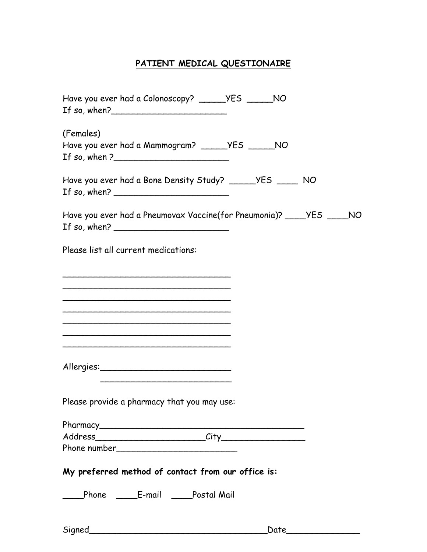### **PATIENT MEDICAL QUESTIONAIRE**

| Have you ever had a Colonoscopy? ______YES ______NO                                                  |  |
|------------------------------------------------------------------------------------------------------|--|
| (Females)<br>Have you ever had a Mammogram? ______YES ______NO<br>If so, when $?$                    |  |
| Have you ever had a Bone Density Study? _____ YES ____ NO<br>If so, when? $\frac{1}{2}$              |  |
| Have you ever had a Pneumovax Vaccine(for Pneumonia)? _____YES _____NO<br>If so, when? $\frac{1}{2}$ |  |
| Please list all current medications:                                                                 |  |
|                                                                                                      |  |
|                                                                                                      |  |
|                                                                                                      |  |
| <u> 1989 - Johann Barbara, margaret eta idazlearia (h. 1989).</u>                                    |  |
| Please provide a pharmacy that you may use:                                                          |  |
|                                                                                                      |  |
|                                                                                                      |  |
|                                                                                                      |  |
| My preferred method of contact from our office is:                                                   |  |
| ____Phone _____E-mail ____Postal Mail                                                                |  |
|                                                                                                      |  |